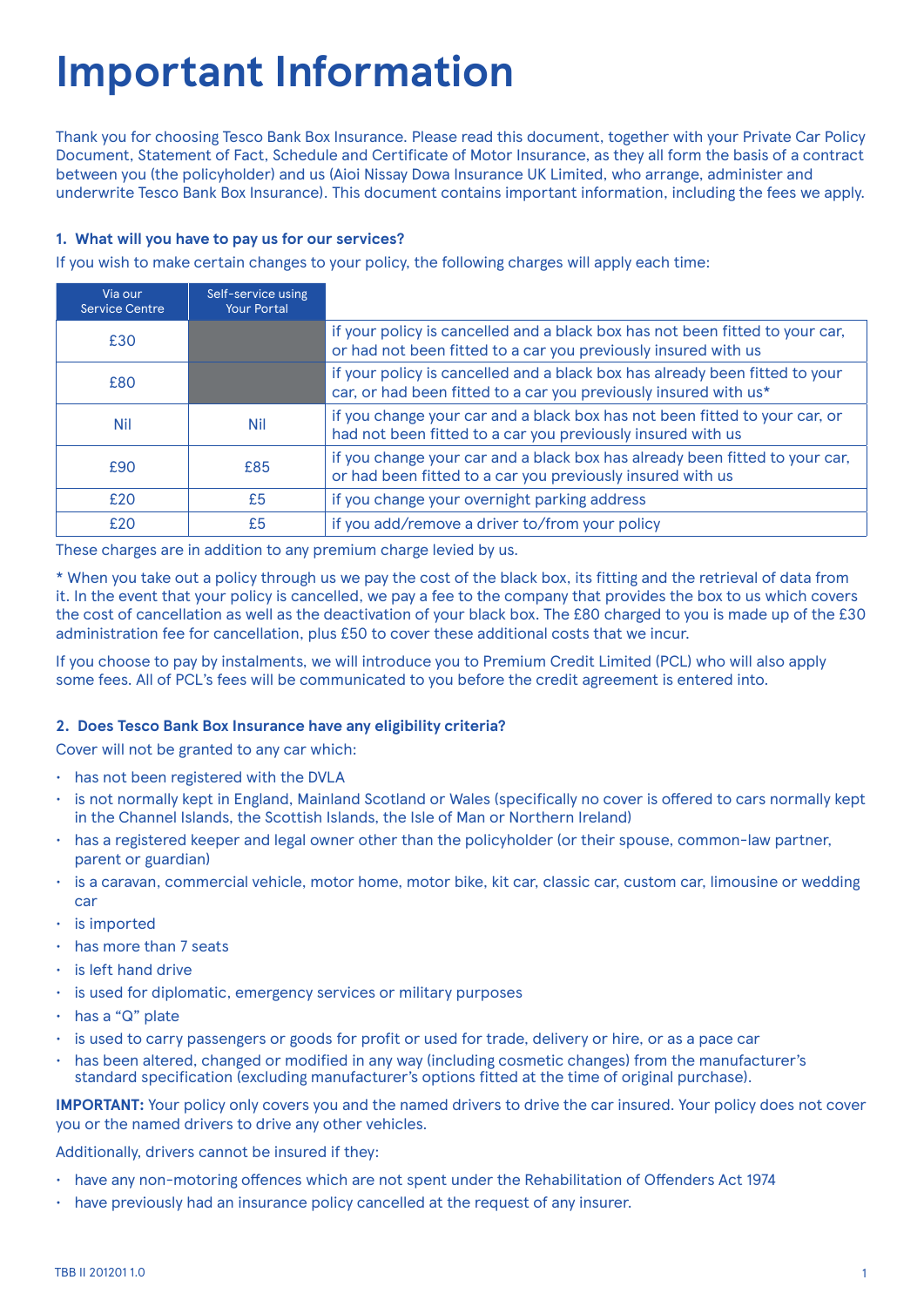# **Important Information**

Thank you for choosing Tesco Bank Box Insurance. Please read this document, together with your Private Car Policy Document, Statement of Fact, Schedule and Certificate of Motor Insurance, as they all form the basis of a contract between you (the policyholder) and us (Aioi Nissay Dowa Insurance UK Limited, who arrange, administer and underwrite Tesco Bank Box Insurance). This document contains important information, including the fees we apply.

# **1. What will you have to pay us for our services?**

If you wish to make certain changes to your policy, the following charges will apply each time:

| Via our<br><b>Service Centre</b> | Self-service using<br><b>Your Portal</b> |                                                                                                                                                 |
|----------------------------------|------------------------------------------|-------------------------------------------------------------------------------------------------------------------------------------------------|
| £30                              |                                          | if your policy is cancelled and a black box has not been fitted to your car,<br>or had not been fitted to a car you previously insured with us  |
| £80                              |                                          | if your policy is cancelled and a black box has already been fitted to your<br>car, or had been fitted to a car you previously insured with us* |
| <b>Nil</b>                       | <b>Nil</b>                               | if you change your car and a black box has not been fitted to your car, or<br>had not been fitted to a car you previously insured with us       |
| £90                              | £85                                      | if you change your car and a black box has already been fitted to your car,<br>or had been fitted to a car you previously insured with us       |
| £20                              | £5                                       | if you change your overnight parking address                                                                                                    |
| £20                              | £5                                       | if you add/remove a driver to/from your policy                                                                                                  |

These charges are in addition to any premium charge levied by us.

\* When you take out a policy through us we pay the cost of the black box, its fitting and the retrieval of data from it. In the event that your policy is cancelled, we pay a fee to the company that provides the box to us which covers the cost of cancellation as well as the deactivation of your black box. The £80 charged to you is made up of the £30 administration fee for cancellation, plus £50 to cover these additional costs that we incur.

If you choose to pay by instalments, we will introduce you to Premium Credit Limited (PCL) who will also apply some fees. All of PCL's fees will be communicated to you before the credit agreement is entered into.

# **2. Does Tesco Bank Box Insurance have any eligibility criteria?**

Cover will not be granted to any car which:

- has not been registered with the DVLA
- is not normally kept in England, Mainland Scotland or Wales (specifically no cover is offered to cars normally kept in the Channel Islands, the Scottish Islands, the Isle of Man or Northern Ireland)
- has a registered keeper and legal owner other than the policyholder (or their spouse, common-law partner, parent or guardian)
- is a caravan, commercial vehicle, motor home, motor bike, kit car, classic car, custom car, limousine or wedding car
- is imported
- has more than 7 seats
- is left hand drive
- is used for diplomatic, emergency services or military purposes
- has a "Q" plate
- is used to carry passengers or goods for profit or used for trade, delivery or hire, or as a pace car
- has been altered, changed or modified in any way (including cosmetic changes) from the manufacturer's standard specification (excluding manufacturer's options fitted at the time of original purchase).

**IMPORTANT:** Your policy only covers you and the named drivers to drive the car insured. Your policy does not cover you or the named drivers to drive any other vehicles.

Additionally, drivers cannot be insured if they:

- have any non-motoring offences which are not spent under the Rehabilitation of Offenders Act 1974
- have previously had an insurance policy cancelled at the request of any insurer.